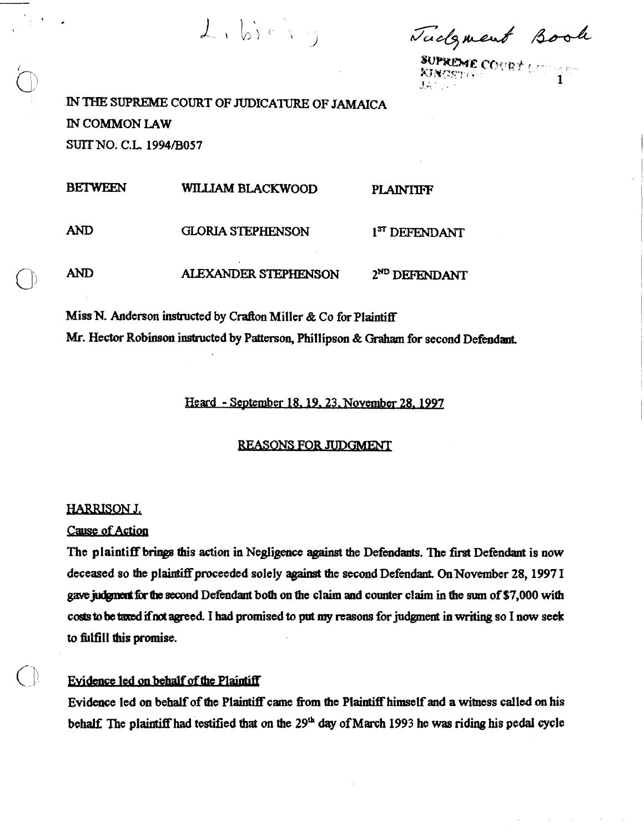$L_1 b_1 c_1$ 

Tackment Book

**SUPREME COURT LOOPS** 

IN THE SUPREME COURT OF JUDICATURE OF **JAMAICA** IN COMMON **LAW**  SUIT NO. C.L. 1994/B057

**BETWEEN WILLIAM BLACKWOOD PLAINTIFF** AND GLORIA STEPHENSON 1<sup>8T</sup> DEFENDANT

**AND** ALEXANDER STEPHENSON 2ND DEFENDANT

**Miss N.** Anderson instructed by **Crafton** Miller & Co for Plaintiff

Mr. Hector Robinson instructed by Patterson, Phillipson & Graham for second Defendant.

Heard - September 18, 19, 23. November 28, 1997

# **REASONS FOR JUDGMENT**

# **HARRISON J.**

**Cause of Action** 

The plaintiff **bringa** this action in Negligeme **agaimt** the Defendants. 'Ihe **fust** Defendant is now deceased so the plaintiff proceeded solely against the second Defendant. On November 28, 1997 I gave judgment for the second Defendant both on the claim and counter claim in the sum of \$7,000 with costs to be taxed if not agreed. I had promised to put my reasons for judgment in writing so I now seek to fhillfill **this promise.** 

# **Evidence led on behalf of the Plaintiff**

Evidence led on behalf of the Plaintiff came from the Plaintiff himself and a witness called on his behalf: The **plaintiff** had testified **that on the 29&** day of March 1993 he was riding his **pedal cycle**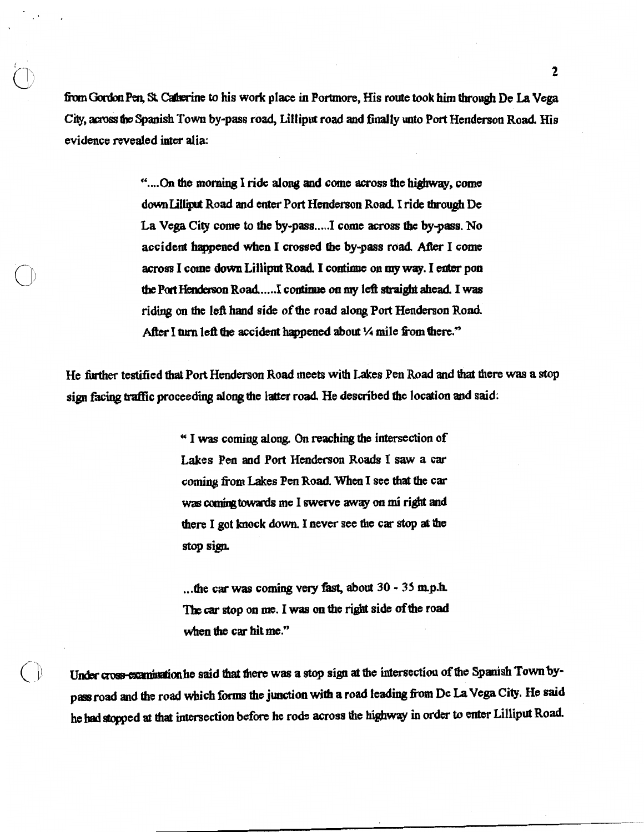from Gordon Pen, St. Catherine to his work place in Portmore, His route took him through De La Vega City, across the Spanish Town by-pass road, Lilliput road and finally unto Port Henderson Road. His evidence revealed inter alia:

> "....On the morning I ride along and come across the highway, come down Lilliput Road and enter Port Henderson Road. I ride through De La Vega City come to the by-pass.....I come across the by-pass. No accident happened when I crossed the by-pass road. After I come across I come down Lilliput Road. I continue on my way. I enter pon the Port Henderson Road......I continue on my left straight ahead. I was riding on the left hand side of the road along Port Henderson Road. After I turn left the accident happened about 1/4 mile from there."

He further testified that Port Henderson Road meets with Lakes Pen Road and that there was a stop sign facing traffic proceeding along the latter road. He described the location and said:

> "I was coming along. On reaching the intersection of Lakes Pen and Port Henderson Roads I saw a car coming from Lakes Pen Road. When I see that the car was coming towards me I swerve away on mi right and there I got knock down. I never see the car stop at the stop sign.

...the car was coming very fast, about 30 - 35 m.p.h. The car stop on me. I was on the right side of the road when the car hit me."

Under cross-examination he said that there was a stop sign at the intersection of the Spanish Town bypass road and the road which forms the junction with a road leading from De La Vega City. He said he had stopped at that intersection before he rode across the highway in order to enter Lilliput Road.

 $\overline{\mathcal{C}}$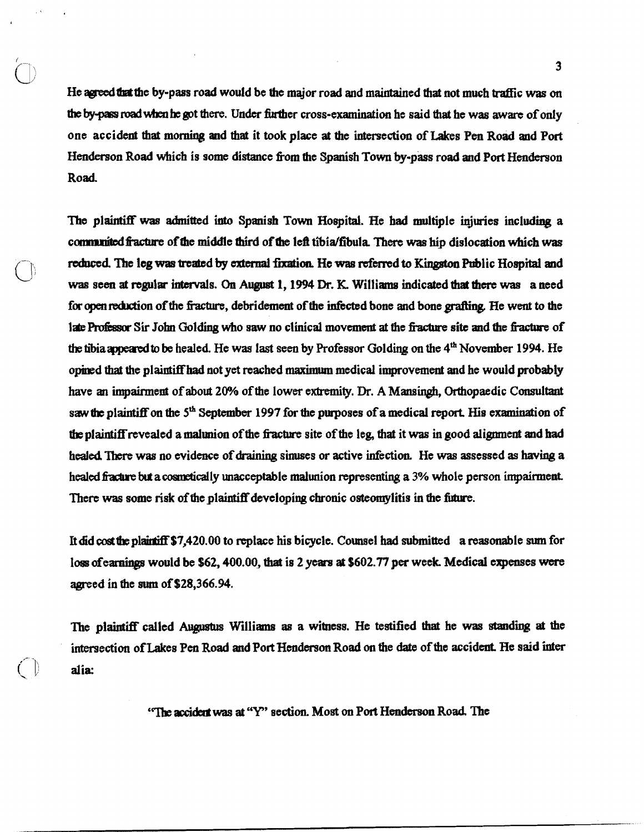He agreed that the by-pass road would be the major road and maintained that not much traffic was on **the byqaa lPadwbx~ be** got **there.** Under finther cross-examination he said **that** he was **aware** of only one accident that morning and that it took place at the intersection of Lakes Pen Road and Port Henderson Road which is some distance from the Spanish Town by-pass road and Port Henderson Road

The plaintiff was admitted into Spanish Town Hospital. He had multiple injuries including a communited fracture of the middle third of the left tibia/fibula. There was hip dislocation which was **reduced** The **leg was** treated **by cxkmd** fhtioa **He was** dmd **to** Kinpton Public Hospital and was seen at regular intervals. On August 1, 1994 Dr. K. Williams indicated that there was a need for open reduction of the fracture, debridement of the infected bone and bone grafting. He went to the 1ate Professor Sir John Golding who saw no clinical movement at the fracture site and the fracture of the tibia appeared to be healed. He was last seen by Professor Golding on the 4<sup>th</sup> November 1994. He opined that the plaintiffhad not yet reached **maximum** medical improvement and he would probably have an impairment of about 20% of the lower extremity. Dr. A Mansingh, Orthopaedic Consultant saw the plaintiff on the 5<sup>th</sup> September 1997 for the purposes of a medical report. His examination of **tbe** plaintiff revealed a malunion of the **fiacbre** site of the leg, that it **was** in good alignment and had healed. There was no evidence of draining sinuses or active infection. He was assessed as having a healed fracture but a cosmetically unacceptable malunion representing a 3% whole person impairment. There was some risk of the plaintiff developing chronic osteomylitis in the future.

It did cost the plaintiff \$7,420.00 to replace his bicycle. Counsel had submitted a reasonable sum for loss of earnings would be \$62, 400.00, that is 2 years at \$602.77 per week. Medical expenses were agreed in the **sum** of \$28,366.94.

'][he **plaintiiff** called Aupsim Williams as a witness. He testified **thal** he **was standii at** the intersection of Lakes Pen Road and Port Hcndcrson Road **on** the date of **the** accident. He said **'hter**  inters<br>
alia:

"The accident was at "Y" section. Most on Port Henderson Road. The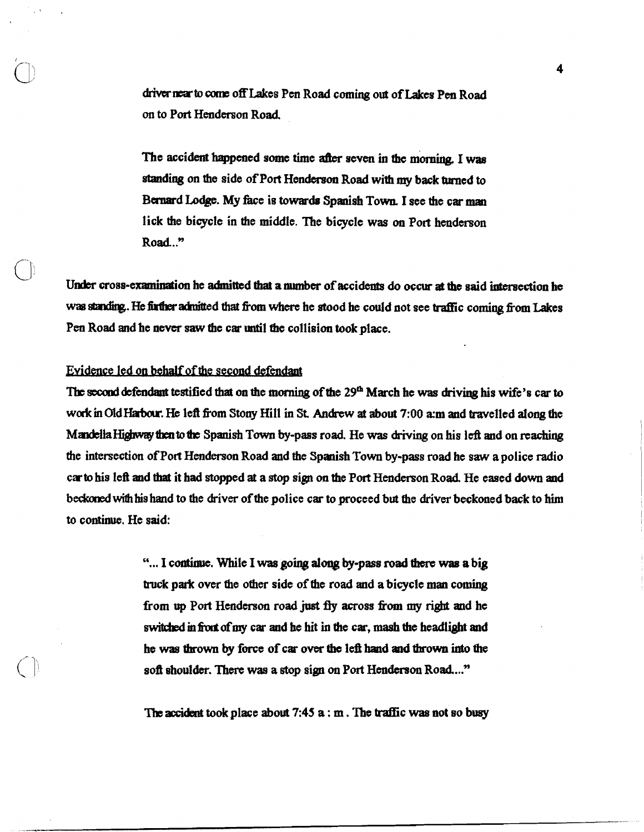driver near to come off Lakes Pen Road coming out of Lakes Pen Road on to Port Henderson Road.

The accident happened some time after seven in the morning. I was standing on the side of Port Henderson Road with my back turned to Bernard Lodge. My face is towards Spanish Town. I see the car man lick the bicycle in the middle. The bicycle was on Port henderson Road.."

Under cross-examination he admitted that a number of accidents do occur at the said intersection he was standing. He further admitted that from where he stood he could not see traffic coming from Lakes Pen Road and he never saw the car until the collision took place.

## Evidence led on behalf of the second defendant

The second defendant testified that on the morning of the 29<sup>th</sup> March he was driving his wife's car to **wodc m** OldHatmu. He left fkom **Stony** Hill in **St Andrew** at about 7:00 **zm** and travelled along fhe Mandella Highway then to the Spanish Town by-pass road. He was driving on his left and on reaching the intersection of Port Henderson Road and the Spanish Town by-pass road he **saw** a police radio car to his left and **that** it had stopped at a stop sip on the Port Henderson Road. He eased down and beckoned with his hand to the driver of the police car to proceed but the driver beckoned back to him **to** continue. He said:

> "... I continue. While I was going along by-pass road there was a big truck park over the ofher side of the road and a bicycle **man** coming from up Port Henderson road just fly across from my right and he switched in front of my car and he hit in the car, mash the headlight and he **was** thrown by **force of** car om the left **haad and** thrown **into the**  soft shoulder. There wae a stop sign on **Port** Henderson Road ..."

> The **accicht** took place **about 7:45** a : m . Tbe traffic was not so **buey**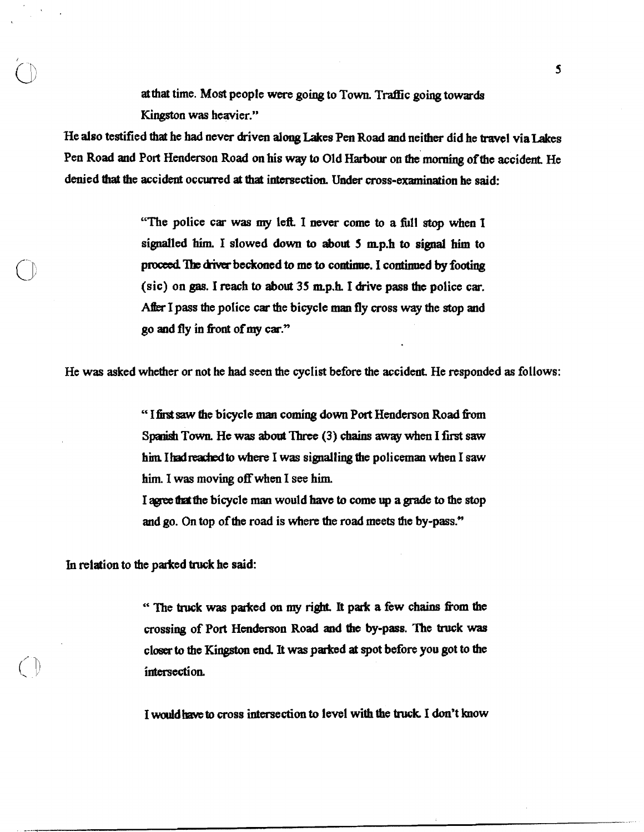**at** that time. Most people were going to Town. Traffic going towards Kingston was heavier."

He also testified that he had never driven **along** Lakes Pen Road and neither did he travel viaLakes Pen Road and Port Henderson Road on his way to Old Harbour on the morning of the accident. He denied **that** the accident occurred **at** that intersection. **Under** cross-examination he said:

> "The police car was my leR I **never** come to a fill stop when I signalled **him.** I slowed down to about **5 mp.h** to signal **him** to proceed. The driver beckoned to me to continue. I continued by footing (sic) on gas. I reach to about 35 rap.h. I drive pass **the** police car. **Aibx** I pass the poIice car the bicycle **man fly** cross **way** the stop and go and **fly** in front of my car."

He was asked whether or not he had seen the cyclist before the accident. He responded as follows:

" **Ifintsaw** fhe bicycle **man** coming down **Port** Henderson Road hn **Spd** Town He **was about** Three (3) chains **away** when I fust saw him I had reached to where I was signalling the policeman when I saw him. I was moving off when I see him.

I **-the** bicycle **maa** would have to come up a **grade** to the stop and go. On top of the road is where the road meets the by-pass."

In relation to the parked **truck** he said:

" The truck was parked on my right. It park a few chains from the crossing of Port Henderson Road and the by-pass. The **truck was**  closer **to** tfie **Kingston** end It **was** parked **at** spot before you got to the intersection.

I would **ham to** cross intersection to level with the **truck** I don't how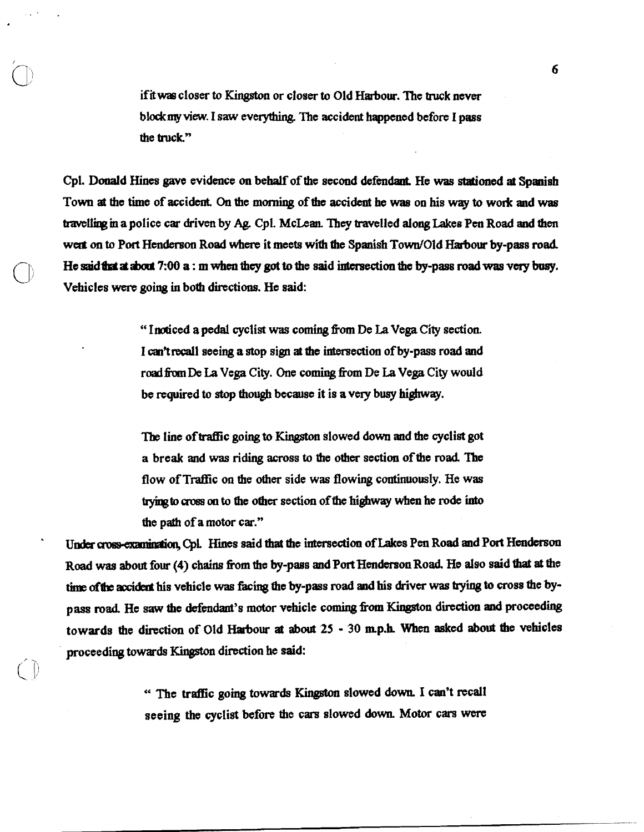if it was closer to Kingston or closer to Old Harbour. The truck never blockmy view. I saw everything. The accident happened before I pass the truck."

Cpl. Donald Hines gave evidence on behalf of the second defendant. He **was** dafioned at Spanish Town **at** the time of accident. **On** the **morning** of tho accident he **wae** on his **way** to work and **was bimlliag m** apolice car driven by **Ag.** Cpl. McLean **They** travelled alonglakees **Pen** Road **and** &en wert on to Port Henderson Road where it meets with the Spanish Town/Old Harbour by-pass road. He said that at about 7:00 **a** : **m** when they got to the said intersection the by-pass road was very busy. Vehicles were going in both directions. He said:

> " Inoticed a pedal cyclist was coming from De La Vega **City** section. I can't recall seeing a stop sign at the intersection of by-pass road and road **hn De** La Vega City. One coming fim De La Vega City would be required to stop though because it is a very busy highway.

> The line of traffic going to Kingston slowed down and the cyclist got a break and **was** riding across to the other section of the road The flow of Traffic on the other side was flowing continuously. He was trying to cross on to the other section of the highway when he rode into the path of a motor car."

Under cross-examination, Cpl. Hines said that the intersection of Lakes Pen Road and Port Henderson Road was about four (4) chains from the by-pass and Port Henderson Road. He also said that at the time of the accident his vehicle was facing the by-pass road and his driver was trying to cross the bypass road. He saw the defendant's motor vehicle coming from Kingston direction and proceeding towards the direction of Old Harbour **at** about **25** - 30 m.p.h. When asked about the vehicles proceediag **towards** Ihgstm direction **he** said:

> " The traffic going **towards** Kingston slowed down I can't recall seeing the cyclist before the cars slowed **down.** Motor cars were

 $\bigcirc$ 

6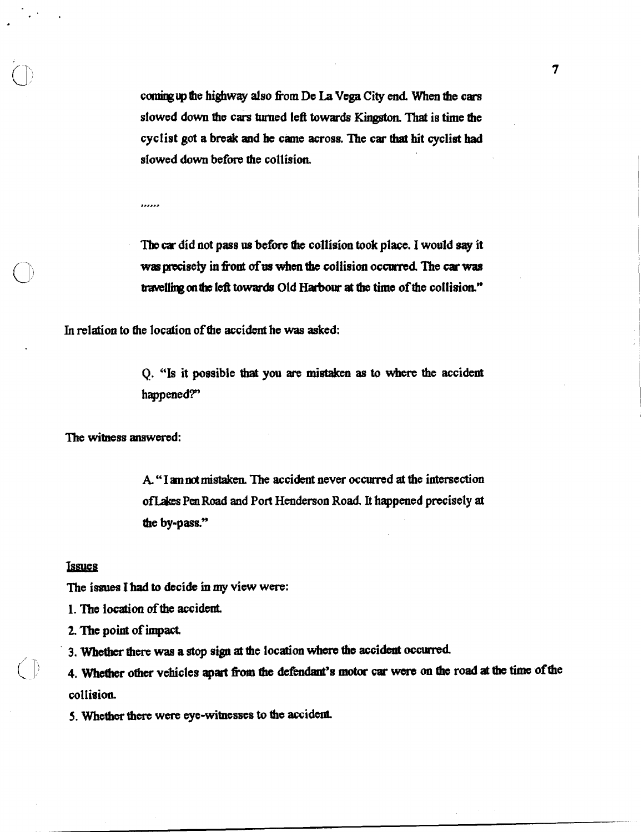coming up the highway also from De La Vega City end. When the cars dowed down the cars **turned** left **towards** Kingston. That is time the cyclist got a break and he came across. The car **that** hit cyclist had slowed down before the collision.

......

The car did not pass us before the collision took place. I would say it was precisely in front of us when the collision occurred. The car was travelling on the left towards Old Harbour at the time of the collision."

In relation to the location of the accident he **was** asked:

**Q. "Is** it possible **that** you are **mi-** as to where **the** accident happened?"

The witness answered:

A. "I am not mistaken. The accident never occurred at the intersection ofLakes Pea Road and Port Henderson Road. It happened precisely **at**  the by-pass."

### **Issues**

The issues I had to decide in my view were:

1. The location of the accident.

2. The point of impact

3. **Whether** there **was** a **stop** sign **at the** location where **the** accident occurred

4. Whether other vehicles apart from the defendant's motor car were on the road at the time of the collision.

5. Whether **there** wcre eye-witnesses **to tbe** accident.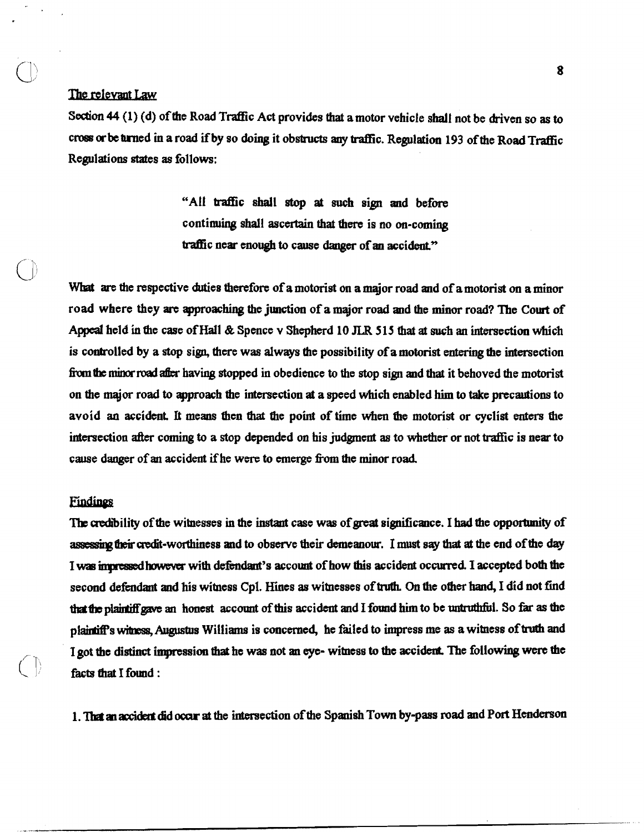The relevant Law<br>Section 44 (1) (d) of the Road Traffic A<br>cross or be turned in a road if by so doing<br>Regulations states as follows: Section 44 (1) (d) of the Road Traffic Act provides that a motor vehicle shall not be driven so as to cross or be turned in a road if by so doing it obstructs any traffic. Regulation 193 of the Road Traffic Regulations states as follows:

> "All traffic shall stop **at** such sign and before continuing shall ascertain that there is no on-coming traffic near enough to cause danger of an accident."

What are the respective duties therefore of a motorist on a major road and of a motorist on a minor road where they **arc** approaching the junction of a major road and the minor road? The Cowt **of**  Appeal held **in** the case of Hall & Spence v Shepherd 10 **JLR 5 15** that at such an itFtersection which is controlled by a stop sign, there was always the possibility of a motorist entering the intersection from the minor road after having stopped in obedience to the stop sign and that it behoved the motorist on the major road to approach the intersection at a speed which enabled him to take precautions to avoid an accident. It means then that the point of time when the motorist or cyclist enters the intersection after coming to a stop depended on his judgment as to whether or not traffic is near to cause daager of **an** accident if'he were to **emerge \*om** the minor road.

## Findings

 $\bigcirc$ 

The credibility of the witnesses in the instant case was of great significance. I had the opportunity of assessing their credit-worthiness and to observe their demeanour. I must say that at the end of the day I was impressed however with defendant's account of how this accident occurred. I accepted both the second defendant and his witness Cpl. Hines as witnesses of truth. On the other hand, I did not find the **the plaintiff gave** an **honest** account of this accident and I found him to be untruthful. So far as the plaintiff's witness, Augustus Williams is concerned, he failed to impress me as a witness of truth and I got **thc disthct** imptession that **he was** not an **eye-** witness to the accident The following **were** the facts fhat I found :

**1. llat an accided** did **ocar at** the intersection of the Spanish Town by-pass road and Port Henderson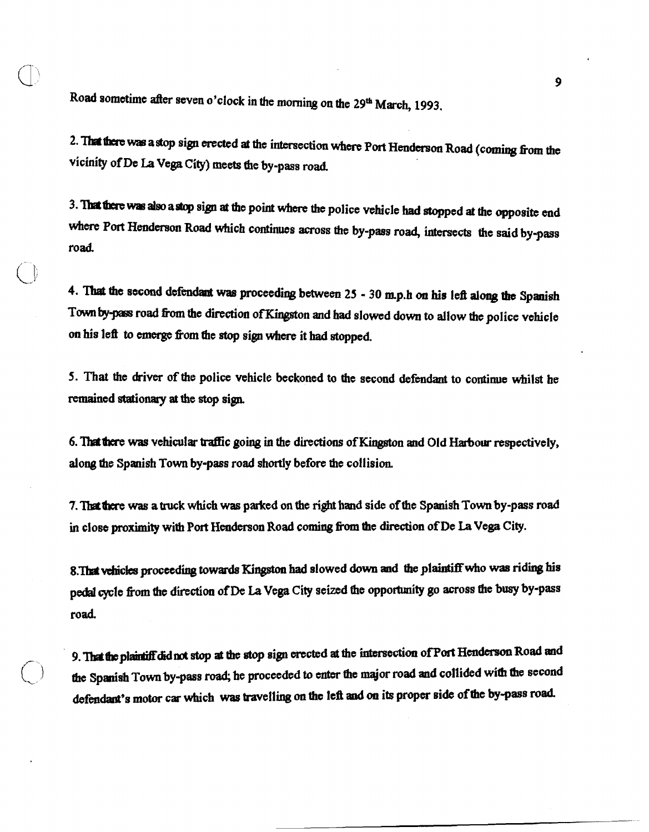Road sometime after seven o'clock in the morning on the 29<sup>th</sup> March, 1993.

 $\cup$ 

**2.1MUme was astop** sign erected at the intersection where **Port Henbon** Road (coming fiom the vicinity of De La Vega City) meets the by-pass road.

**3. ThtUmem plao a\*** sign **a** tbs point whm the police vehicle had stopped at the opposite **end**  where Port Henderson Road which continues across the by-pass road, intersects the said by-pass road.

**4.** ?hat **the** second dPfsndal **was** proceediqg between **25** - **30** mp.h on **his** leil **along the** Spanish Town by-pass road from the direction of Kingston and had slowed down to allow the police vehicle on his left to **emerge** fiom fhe **stop** sign where it had stopped.

5. **That** the driver of the police vehicle beckoned to the second defendant to continue whilst he remained stationary at the stop sign.

6. **'Thdhere** was vehicular Mc going in the directioas of Kingston smd Old **Mow** respectively, along the Spanish Town by-pass road shortly before the collision.

**7. Ihtlkre was** a **ttuck** which **was** parked on the **right** hand side of the Spanish Town bypass road in close proximity with Port Henderson Road coming from the direction of De La Vega City.

8.That vehicles proceeding towards Kingston had slowed down and the plaintiff who was riding his pedal cycle from the direction of De La Vega City seized the opportunity go across the busy by-pass road.

/- **9. Mbplai&didmt stop at** me **its,** sign erected at the intersection ofPolt **Hen-** Road and the Spanish Town by-pass road; he proceeded to enter the major road and collided with the second dsfmdant's motor car which was travelling on **the** icfi **and** on **its proper side** of **the by-pass** road.